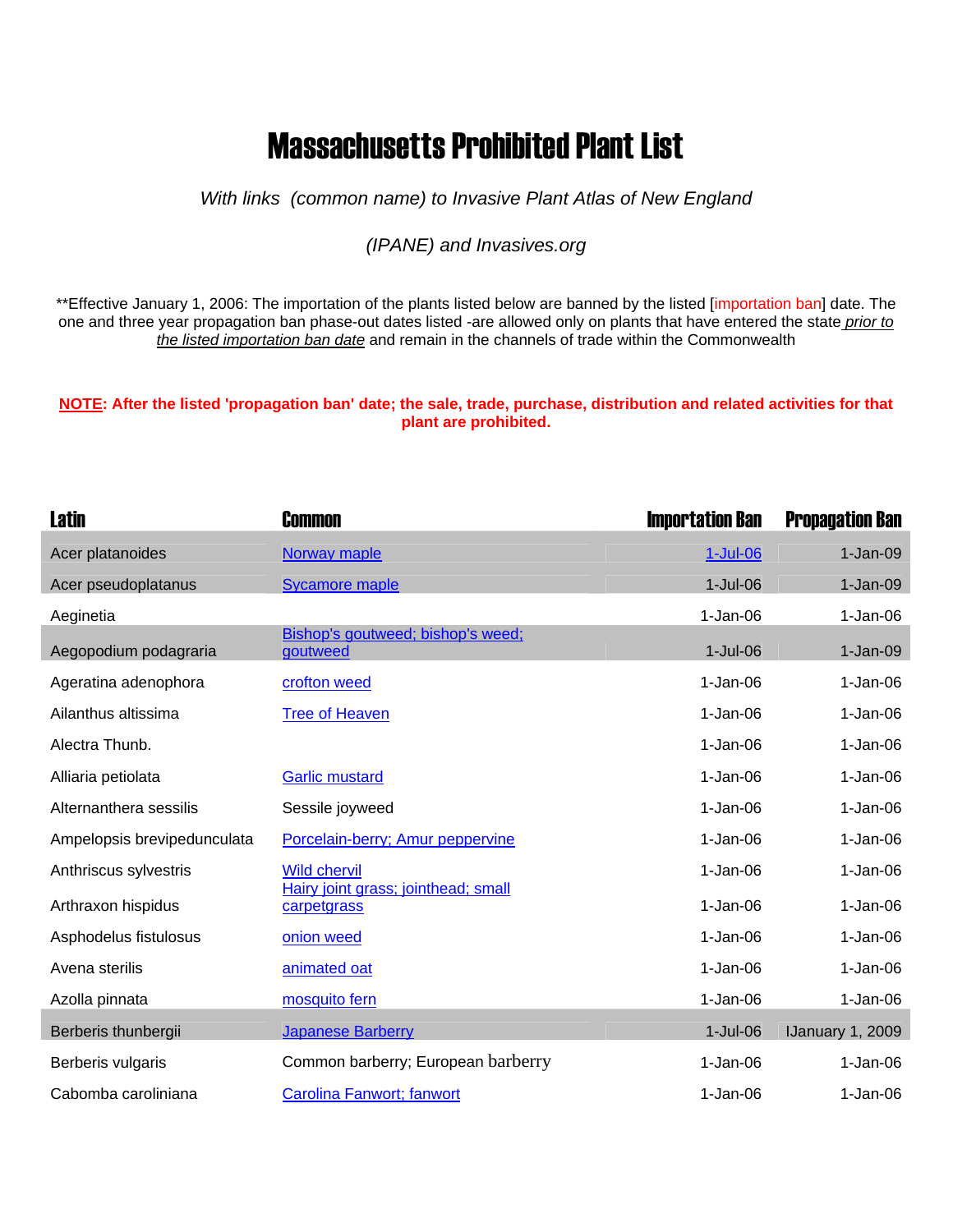## Massachusetts Prohibited Plant List

*With links (common name) to Invasive Plant Atlas of New England* 

## *(IPANE) and Invasives.org*

\*\*Effective January 1, 2006: The importation of the plants listed below are banned by the listed [importation ban] date. The one and three year propagation ban phase-out dates listed -are allowed only on plants that have entered the state *prior to the listed importation ban date* and remain in the channels of trade within the Commonwealth

## **NOTE: After the listed 'propagation ban' date; the sale, trade, purchase, distribution and related activities for that plant are prohibited.**

| <b>Latin</b>                | <b>Common</b>                                              | <b>Importation Ban</b> | <b>Propagation Ban</b> |
|-----------------------------|------------------------------------------------------------|------------------------|------------------------|
| Acer platanoides            | Norway maple                                               | 1-Jul-06               | $1-Jan-09$             |
| Acer pseudoplatanus         | <b>Sycamore maple</b>                                      | $1-Jul-06$             | $1-Jan-09$             |
| Aeginetia                   |                                                            | $1-Jan-06$             | $1-Jan-06$             |
| Aegopodium podagraria       | Bishop's goutweed; bishop's weed;<br>goutweed              | $1-Jul-06$             | $1-Jan-09$             |
| Ageratina adenophora        | crofton weed                                               | $1-Jan-06$             | $1-Jan-06$             |
| Ailanthus altissima         | <b>Tree of Heaven</b>                                      | $1-Jan-06$             | $1-Jan-06$             |
| Alectra Thunb.              |                                                            | $1-Jan-06$             | $1-Jan-06$             |
| Alliaria petiolata          | <b>Garlic mustard</b>                                      | $1-Jan-06$             | $1-Jan-06$             |
| Alternanthera sessilis      | Sessile joyweed                                            | $1-Jan-06$             | $1-Jan-06$             |
| Ampelopsis brevipedunculata | Porcelain-berry; Amur peppervine                           | $1-Jan-06$             | $1-Jan-06$             |
| Anthriscus sylvestris       | <b>Wild chervil</b><br>Hairy joint grass; jointhead; small | $1-Jan-06$             | $1-Jan-06$             |
| Arthraxon hispidus          | carpetgrass                                                | $1-Jan-06$             | $1-Jan-06$             |
| Asphodelus fistulosus       | onion weed                                                 | $1-Jan-06$             | $1-Jan-06$             |
| Avena sterilis              | animated oat                                               | $1-Jan-06$             | $1-Jan-06$             |
| Azolla pinnata              | mosquito fern                                              | $1-Jan-06$             | $1-Jan-06$             |
| Berberis thunbergii         | <b>Japanese Barberry</b>                                   | $1-Jul-06$             | IJanuary 1, 2009       |
| Berberis vulgaris           | Common barberry; European barberry                         | $1-Jan-06$             | $1-Jan-06$             |
| Cabomba caroliniana         | Carolina Fanwort; fanwort                                  | $1-Jan-06$             | $1-Jan-06$             |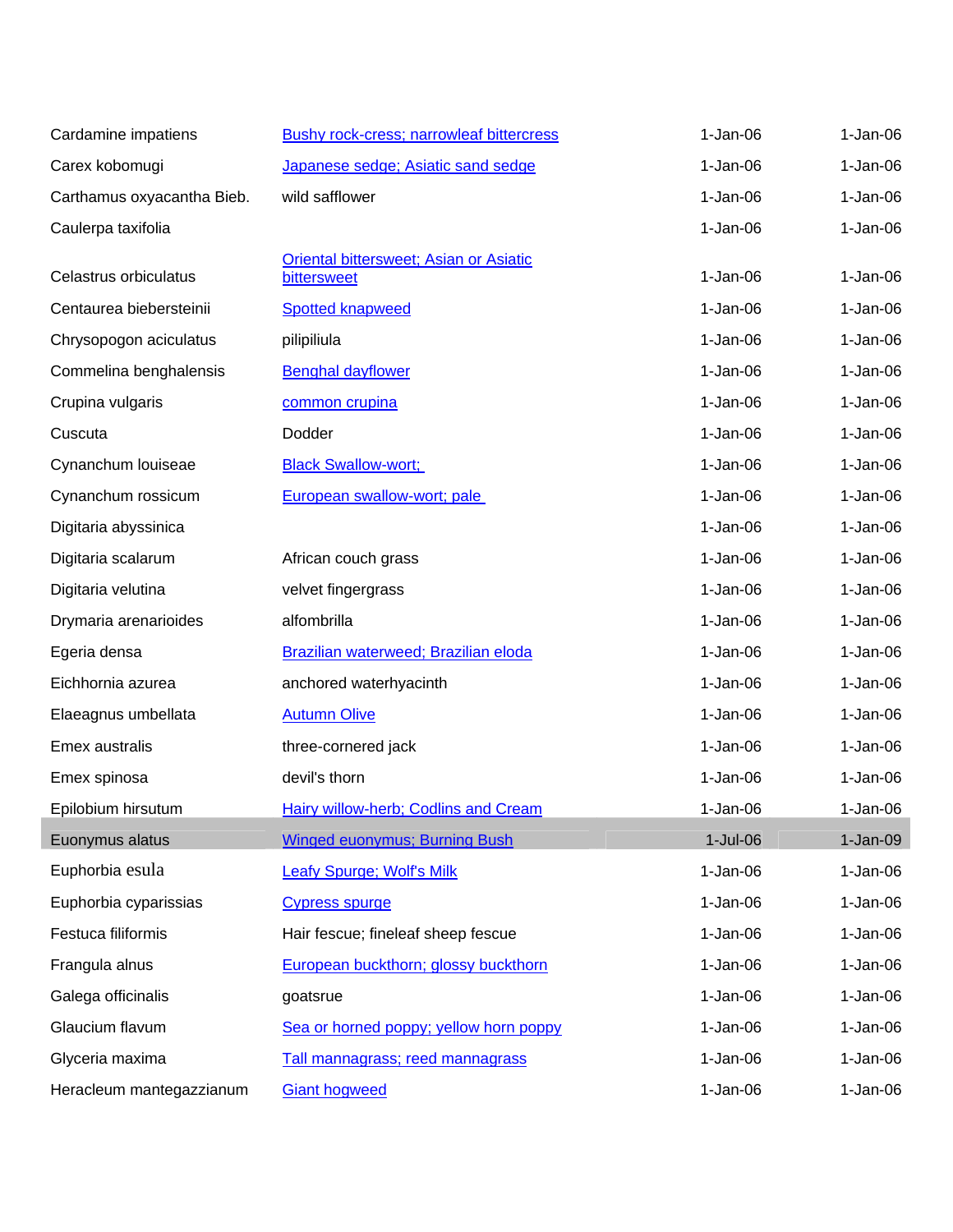| Cardamine impatiens        | <b>Bushy rock-cress; narrowleaf bittercress</b>              | $1-Jan-06$ | $1-Jan-06$ |
|----------------------------|--------------------------------------------------------------|------------|------------|
| Carex kobomugi             | Japanese sedge; Asiatic sand sedge                           | $1-Jan-06$ | $1-Jan-06$ |
| Carthamus oxyacantha Bieb. | wild safflower                                               | $1-Jan-06$ | $1-Jan-06$ |
| Caulerpa taxifolia         |                                                              | $1-Jan-06$ | $1-Jan-06$ |
| Celastrus orbiculatus      | <b>Oriental bittersweet; Asian or Asiatic</b><br>bittersweet | $1-Jan-06$ | $1-Jan-06$ |
| Centaurea biebersteinii    | <b>Spotted knapweed</b>                                      | $1-Jan-06$ | $1-Jan-06$ |
| Chrysopogon aciculatus     | pilipiliula                                                  | $1-Jan-06$ | $1-Jan-06$ |
| Commelina benghalensis     | <b>Benghal dayflower</b>                                     | $1-Jan-06$ | $1-Jan-06$ |
| Crupina vulgaris           | common crupina                                               | $1-Jan-06$ | $1-Jan-06$ |
| Cuscuta                    | Dodder                                                       | $1-Jan-06$ | $1-Jan-06$ |
| Cynanchum Iouiseae         | <b>Black Swallow-wort;</b>                                   | $1-Jan-06$ | $1-Jan-06$ |
| Cynanchum rossicum         | European swallow-wort; pale                                  | $1-Jan-06$ | $1-Jan-06$ |
| Digitaria abyssinica       |                                                              | $1-Jan-06$ | $1-Jan-06$ |
| Digitaria scalarum         | African couch grass                                          | $1-Jan-06$ | $1-Jan-06$ |
| Digitaria velutina         | velvet fingergrass                                           | $1-Jan-06$ | $1-Jan-06$ |
| Drymaria arenarioides      | alfombrilla                                                  | $1-Jan-06$ | $1-Jan-06$ |
| Egeria densa               | Brazilian waterweed; Brazilian eloda                         | $1-Jan-06$ | $1-Jan-06$ |
| Eichhornia azurea          | anchored waterhyacinth                                       | $1-Jan-06$ | $1-Jan-06$ |
| Elaeagnus umbellata        | <b>Autumn Olive</b>                                          | $1-Jan-06$ | $1-Jan-06$ |
| Emex australis             | three-cornered jack                                          | $1-Jan-06$ | $1-Jan-06$ |
| Emex spinosa               | devil's thorn                                                | $1-Jan-06$ | $1-Jan-06$ |
| Epilobium hirsutum         | Hairy willow-herb; Codlins and Cream                         | $1-Jan-06$ | $1-Jan-06$ |
| Euonymus alatus            | <b>Winged euonymus; Burning Bush</b>                         | $1-Jul-06$ | $1-Jan-09$ |
| Euphorbia esula            | Leafy Spurge; Wolf's Milk                                    | $1-Jan-06$ | $1-Jan-06$ |
| Euphorbia cyparissias      | <b>Cypress spurge</b>                                        | $1-Jan-06$ | $1-Jan-06$ |
| Festuca filiformis         | Hair fescue; fineleaf sheep fescue                           | $1-Jan-06$ | $1-Jan-06$ |
| Frangula alnus             | European buckthorn; glossy buckthorn                         | $1-Jan-06$ | $1-Jan-06$ |
| Galega officinalis         | goatsrue                                                     | $1-Jan-06$ | $1-Jan-06$ |
| Glaucium flavum            | Sea or horned poppy; yellow horn poppy                       | $1-Jan-06$ | $1-Jan-06$ |
| Glyceria maxima            | Tall mannagrass; reed mannagrass                             | $1-Jan-06$ | $1-Jan-06$ |
| Heracleum mantegazzianum   | <b>Giant hogweed</b>                                         | $1-Jan-06$ | $1-Jan-06$ |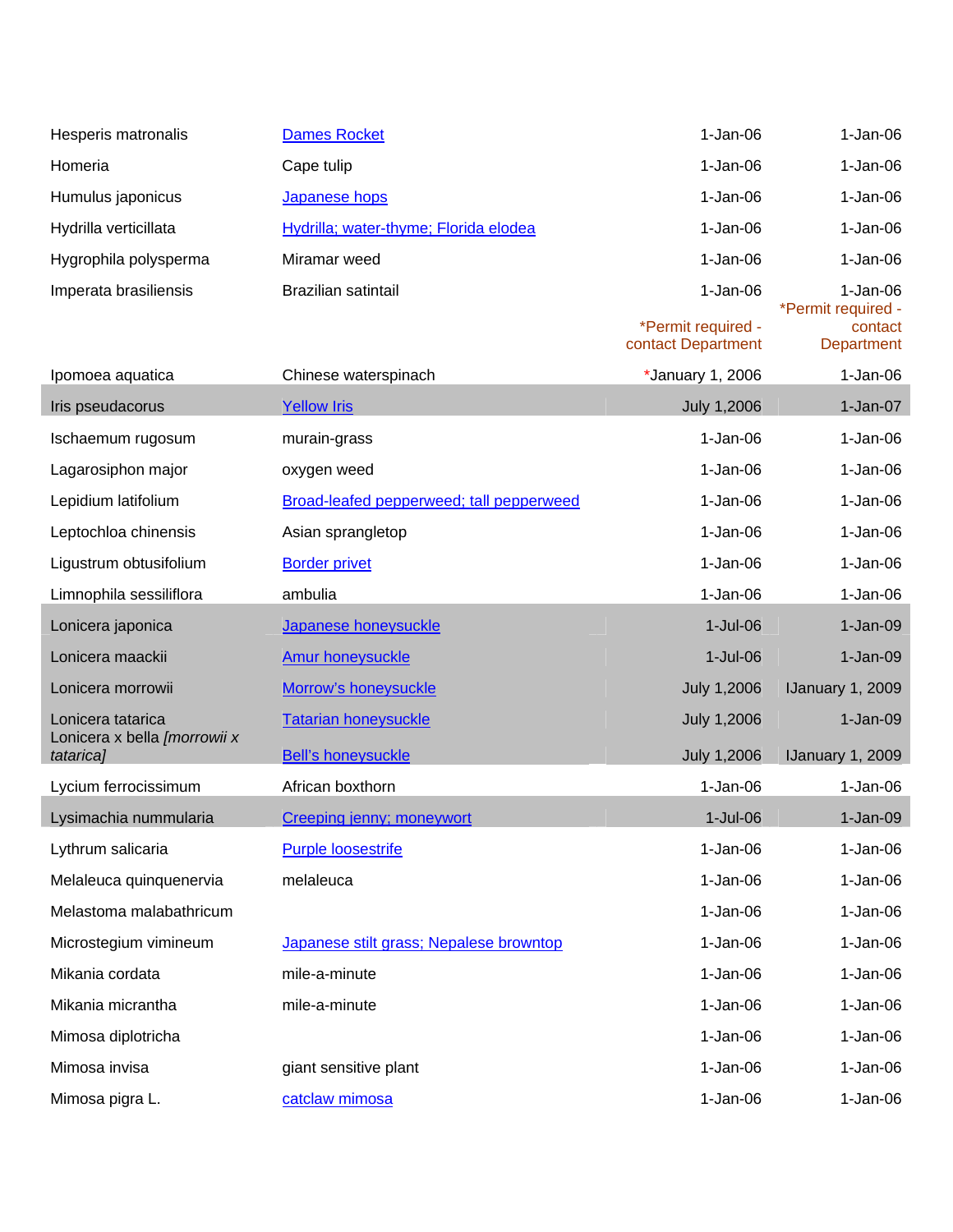| Hesperis matronalis                       | <b>Dames Rocket</b>                      | $1-Jan-06$                               | $1-Jan-06$                                  |
|-------------------------------------------|------------------------------------------|------------------------------------------|---------------------------------------------|
| Homeria                                   | Cape tulip                               | $1-Jan-06$                               | $1-Jan-06$                                  |
| Humulus japonicus                         | Japanese hops                            | $1-Jan-06$                               | $1-Jan-06$                                  |
| Hydrilla verticillata                     | Hydrilla; water-thyme; Florida elodea    | $1-Jan-06$                               | $1-Jan-06$                                  |
| Hygrophila polysperma                     | Miramar weed                             | $1-Jan-06$                               | $1-Jan-06$                                  |
| Imperata brasiliensis                     | Brazilian satintail                      | $1-Jan-06$                               | $1-Jan-06$                                  |
|                                           |                                          | *Permit required -<br>contact Department | *Permit required -<br>contact<br>Department |
| Ipomoea aquatica                          | Chinese waterspinach                     | *January 1, 2006                         | $1-Jan-06$                                  |
| Iris pseudacorus                          | <b>Yellow Iris</b>                       | July 1,2006                              | $1-Jan-07$                                  |
| Ischaemum rugosum                         | murain-grass                             | $1-Jan-06$                               | $1-Jan-06$                                  |
| Lagarosiphon major                        | oxygen weed                              | $1-Jan-06$                               | $1-Jan-06$                                  |
| Lepidium latifolium                       | Broad-leafed pepperweed; tall pepperweed | $1-Jan-06$                               | $1-Jan-06$                                  |
| Leptochloa chinensis                      | Asian sprangletop                        | $1-Jan-06$                               | $1-Jan-06$                                  |
| Ligustrum obtusifolium                    | <b>Border privet</b>                     | $1-Jan-06$                               | $1-Jan-06$                                  |
| Limnophila sessiliflora                   | ambulia                                  | $1-Jan-06$                               | $1-Jan-06$                                  |
| Lonicera japonica                         | Japanese honeysuckle                     | $1-Jul-06$                               | $1-Jan-09$                                  |
| Lonicera maackii                          | <b>Amur honeysuckle</b>                  | $1-Jul-06$                               | $1-Jan-09$                                  |
| Lonicera morrowii                         | Morrow's honeysuckle                     | <b>July 1,2006</b>                       | IJanuary 1, 2009                            |
| Lonicera tatarica                         | <b>Tatarian honeysuckle</b>              | <b>July 1,2006</b>                       | $1-Jan-09$                                  |
| Lonicera x bella [morrowii x<br>tatarica] | <b>Bell's honeysuckle</b>                | July 1,2006                              | IJanuary 1, 2009                            |
| Lycium ferrocissimum                      | African boxthorn                         | $1-Jan-06$                               | $1-Jan-06$                                  |
| Lysimachia nummularia                     | Creeping jenny; moneywort                | $1$ -Jul-06                              | $1-Jan-09$                                  |
| Lythrum salicaria                         | <b>Purple loosestrife</b>                | $1-Jan-06$                               | $1-Jan-06$                                  |
| Melaleuca quinquenervia                   | melaleuca                                | $1-Jan-06$                               | $1-Jan-06$                                  |
| Melastoma malabathricum                   |                                          | $1-Jan-06$                               | $1-Jan-06$                                  |
| Microstegium vimineum                     | Japanese stilt grass; Nepalese browntop  | $1-Jan-06$                               | $1-Jan-06$                                  |
| Mikania cordata                           | mile-a-minute                            | $1-Jan-06$                               | $1-Jan-06$                                  |
| Mikania micrantha                         | mile-a-minute                            | $1-Jan-06$                               | $1-Jan-06$                                  |
| Mimosa diplotricha                        |                                          | $1-Jan-06$                               | $1-Jan-06$                                  |
| Mimosa invisa                             | giant sensitive plant                    | $1-Jan-06$                               | $1-Jan-06$                                  |
| Mimosa pigra L.                           | catclaw mimosa                           | $1-Jan-06$                               | $1-Jan-06$                                  |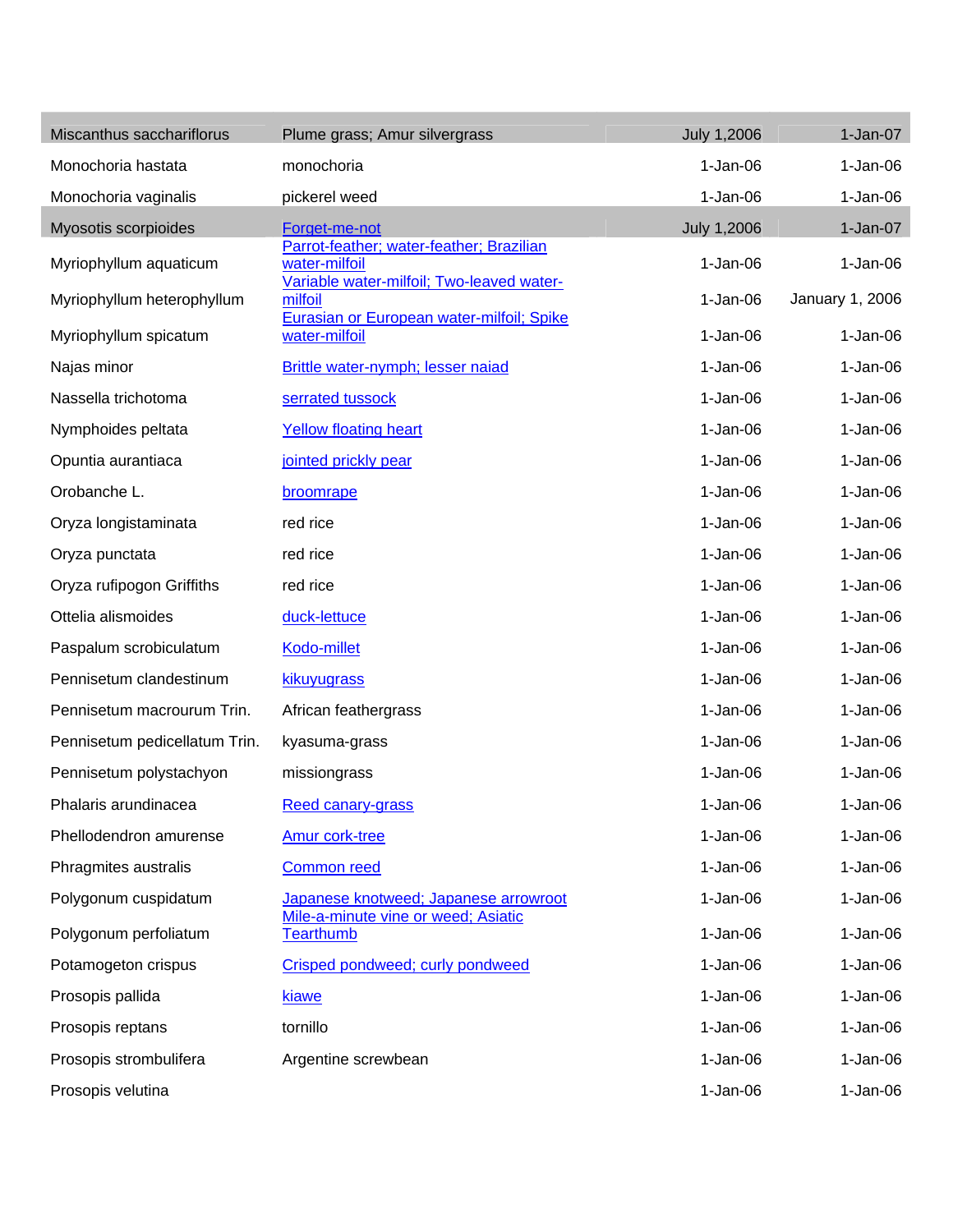| Miscanthus sacchariflorus     | Plume grass; Amur silvergrass                                                                          | <b>July 1,2006</b> | $1-Jan-07$      |
|-------------------------------|--------------------------------------------------------------------------------------------------------|--------------------|-----------------|
| Monochoria hastata            | monochoria                                                                                             | $1-Jan-06$         | $1-Jan-06$      |
| Monochoria vaginalis          | pickerel weed                                                                                          | $1-Jan-06$         | $1-Jan-06$      |
| Myosotis scorpioides          | Forget-me-not                                                                                          | <b>July 1,2006</b> | $1-Jan-07$      |
| Myriophyllum aquaticum        | Parrot-feather; water-feather; Brazilian<br>water-milfoil<br>Variable water-milfoil; Two-leaved water- | $1-Jan-06$         | $1-Jan-06$      |
| Myriophyllum heterophyllum    | milfoil                                                                                                | $1-Jan-06$         | January 1, 2006 |
| Myriophyllum spicatum         | Eurasian or European water-milfoil; Spike<br>water-milfoil                                             | $1-Jan-06$         | $1-Jan-06$      |
| Najas minor                   | Brittle water-nymph; lesser naiad                                                                      | $1-Jan-06$         | $1-Jan-06$      |
| Nassella trichotoma           | serrated tussock                                                                                       | $1-Jan-06$         | $1-Jan-06$      |
| Nymphoides peltata            | <b>Yellow floating heart</b>                                                                           | $1-Jan-06$         | $1-Jan-06$      |
| Opuntia aurantiaca            | jointed prickly pear                                                                                   | $1-Jan-06$         | $1-Jan-06$      |
| Orobanche L.                  | broomrape                                                                                              | $1-Jan-06$         | $1-Jan-06$      |
| Oryza longistaminata          | red rice                                                                                               | $1-Jan-06$         | $1-Jan-06$      |
| Oryza punctata                | red rice                                                                                               | $1-Jan-06$         | $1-Jan-06$      |
| Oryza rufipogon Griffiths     | red rice                                                                                               | $1-Jan-06$         | $1-Jan-06$      |
| Ottelia alismoides            | duck-lettuce                                                                                           | $1-Jan-06$         | $1-Jan-06$      |
| Paspalum scrobiculatum        | Kodo-millet                                                                                            | $1-Jan-06$         | $1-Jan-06$      |
| Pennisetum clandestinum       | kikuyugrass                                                                                            | $1-Jan-06$         | $1-Jan-06$      |
| Pennisetum macrourum Trin.    | African feathergrass                                                                                   | $1-Jan-06$         | $1-Jan-06$      |
| Pennisetum pedicellatum Trin. | kyasuma-grass                                                                                          | $1-Jan-06$         | $1-Jan-06$      |
| Pennisetum polystachyon       | missiongrass                                                                                           | $1-Jan-06$         | $1-Jan-06$      |
| Phalaris arundinacea          | Reed canary-grass                                                                                      | $1-Jan-06$         | $1-Jan-06$      |
| Phellodendron amurense        | <b>Amur cork-tree</b>                                                                                  | $1-Jan-06$         | $1-Jan-06$      |
| Phragmites australis          | <b>Common reed</b>                                                                                     | $1-Jan-06$         | $1-Jan-06$      |
| Polygonum cuspidatum          | Japanese knotweed; Japanese arrowroot                                                                  | $1-Jan-06$         | $1-Jan-06$      |
| Polygonum perfoliatum         | Mile-a-minute vine or weed; Asiatic<br>Tearthumb                                                       | $1-Jan-06$         | $1-Jan-06$      |
| Potamogeton crispus           | Crisped pondweed; curly pondweed                                                                       | $1-Jan-06$         | $1-Jan-06$      |
| Prosopis pallida              | kiawe                                                                                                  | $1-Jan-06$         | $1-Jan-06$      |
| Prosopis reptans              | tornillo                                                                                               | $1-Jan-06$         | $1-Jan-06$      |
| Prosopis strombulifera        | Argentine screwbean                                                                                    | $1-Jan-06$         | $1-Jan-06$      |
| Prosopis velutina             |                                                                                                        | $1-Jan-06$         | $1-Jan-06$      |